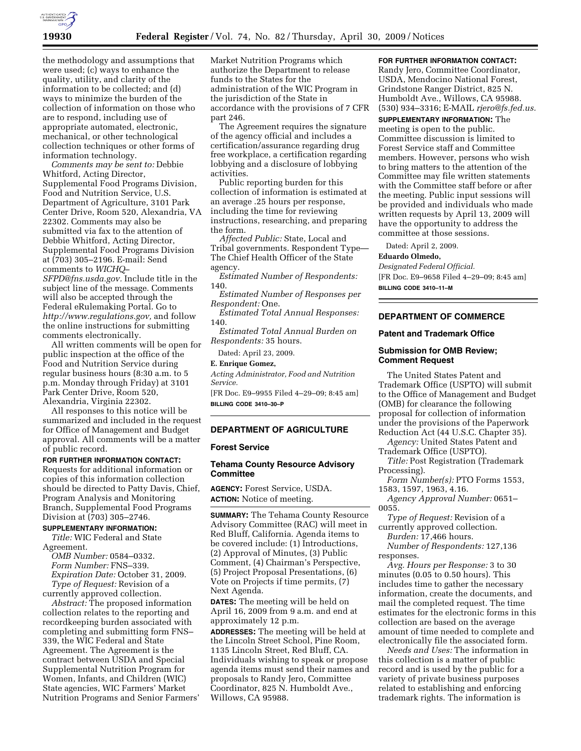

the methodology and assumptions that were used; (c) ways to enhance the quality, utility, and clarity of the information to be collected; and (d) ways to minimize the burden of the collection of information on those who are to respond, including use of appropriate automated, electronic, mechanical, or other technological collection techniques or other forms of information technology.

*Comments may be sent to:* Debbie Whitford, Acting Director, Supplemental Food Programs Division, Food and Nutrition Service, U.S. Department of Agriculture, 3101 Park Center Drive, Room 520, Alexandria, VA 22302. Comments may also be submitted via fax to the attention of Debbie Whitford, Acting Director, Supplemental Food Programs Division at (703) 305–2196. E-mail: Send comments to *WICHQ–* 

*SFPD@fns.usda.gov.* Include title in the subject line of the message. Comments will also be accepted through the Federal eRulemaking Portal. Go to *http://www.regulations.gov,* and follow the online instructions for submitting comments electronically.

All written comments will be open for public inspection at the office of the Food and Nutrition Service during regular business hours (8:30 a.m. to 5 p.m. Monday through Friday) at 3101 Park Center Drive, Room 520, Alexandria, Virginia 22302.

All responses to this notice will be summarized and included in the request for Office of Management and Budget approval. All comments will be a matter of public record.

**FOR FURTHER INFORMATION CONTACT:**  Requests for additional information or copies of this information collection should be directed to Patty Davis, Chief, Program Analysis and Monitoring Branch, Supplemental Food Programs

### Division at (703) 305–2746. **SUPPLEMENTARY INFORMATION:**

*Title:* WIC Federal and State Agreement.

*OMB Number:* 0584–0332. *Form Number:* FNS–339. *Expiration Date:* October 31, 2009. *Type of Request:* Revision of a

currently approved collection. *Abstract:* The proposed information collection relates to the reporting and recordkeeping burden associated with completing and submitting form FNS– 339, the WIC Federal and State Agreement. The Agreement is the contract between USDA and Special Supplemental Nutrition Program for Women, Infants, and Children (WIC) State agencies, WIC Farmers' Market Nutrition Programs and Senior Farmers'

Market Nutrition Programs which authorize the Department to release funds to the States for the administration of the WIC Program in the jurisdiction of the State in accordance with the provisions of 7 CFR part 246.

The Agreement requires the signature of the agency official and includes a certification/assurance regarding drug free workplace, a certification regarding lobbying and a disclosure of lobbying activities.

Public reporting burden for this collection of information is estimated at an average .25 hours per response, including the time for reviewing instructions, researching, and preparing the form.

*Affected Public:* State, Local and Tribal governments. Respondent Type— The Chief Health Officer of the State agency.

*Estimated Number of Respondents:*  140.

*Estimated Number of Responses per Respondent:* One.

*Estimated Total Annual Responses:*  140.

*Estimated Total Annual Burden on Respondents:* 35 hours.

Dated: April 23, 2009.

### **E. Enrique Gomez,**

*Acting Administrator, Food and Nutrition Service.* 

[FR Doc. E9–9955 Filed 4–29–09; 8:45 am] **BILLING CODE 3410–30–P** 

#### **DEPARTMENT OF AGRICULTURE**

#### **Forest Service**

### **Tehama County Resource Advisory Committee**

**AGENCY:** Forest Service, USDA. **ACTION:** Notice of meeting.

**SUMMARY:** The Tehama County Resource Advisory Committee (RAC) will meet in Red Bluff, California. Agenda items to be covered include: (1) Introductions, (2) Approval of Minutes, (3) Public Comment, (4) Chairman's Perspective, (5) Project Proposal Presentations, (6) Vote on Projects if time permits, (7) Next Agenda.

**DATES:** The meeting will be held on April 16, 2009 from 9 a.m. and end at approximately 12 p.m.

**ADDRESSES:** The meeting will be held at the Lincoln Street School, Pine Room, 1135 Lincoln Street, Red Bluff, CA. Individuals wishing to speak or propose agenda items must send their names and proposals to Randy Jero, Committee Coordinator, 825 N. Humboldt Ave., Willows, CA 95988.

# **FOR FURTHER INFORMATION CONTACT:**

Randy Jero, Committee Coordinator, USDA, Mendocino National Forest, Grindstone Ranger District, 825 N. Humboldt Ave., Willows, CA 95988. (530) 934–3316; E-MAIL *rjero@fs.fed.us.* 

**SUPPLEMENTARY INFORMATION:** The meeting is open to the public. Committee discussion is limited to Forest Service staff and Committee members. However, persons who wish to bring matters to the attention of the Committee may file written statements with the Committee staff before or after the meeting. Public input sessions will be provided and individuals who made written requests by April 13, 2009 will have the opportunity to address the committee at those sessions.

Dated: April 2, 2009.

# **Eduardo Olmedo,**

*Designated Federal Official.*  [FR Doc. E9–9658 Filed 4–29–09; 8:45 am] **BILLING CODE 3410–11–M** 

# **DEPARTMENT OF COMMERCE**

# **Patent and Trademark Office**

# **Submission for OMB Review; Comment Request**

The United States Patent and Trademark Office (USPTO) will submit to the Office of Management and Budget (OMB) for clearance the following proposal for collection of information under the provisions of the Paperwork Reduction Act (44 U.S.C. Chapter 35).

*Agency:* United States Patent and Trademark Office (USPTO).

*Title:* Post Registration (Trademark Processing).

*Form Number(s):* PTO Forms 1553, 1583, 1597, 1963, 4.16.

*Agency Approval Number:* 0651– 0055.

*Type of Request:* Revision of a currently approved collection.

*Burden:* 17,466 hours.

*Number of Respondents:* 127,136 responses.

*Avg. Hours per Response:* 3 to 30 minutes (0.05 to 0.50 hours). This includes time to gather the necessary information, create the documents, and mail the completed request. The time estimates for the electronic forms in this collection are based on the average amount of time needed to complete and electronically file the associated form.

*Needs and Uses:* The information in this collection is a matter of public record and is used by the public for a variety of private business purposes related to establishing and enforcing trademark rights. The information is